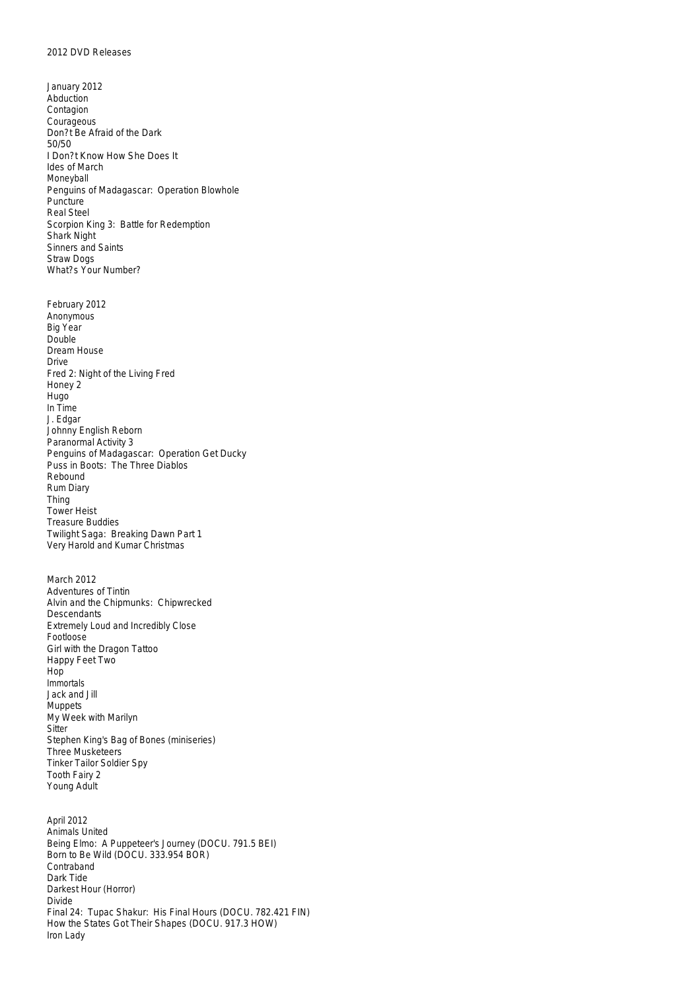January 2012 Abduction Contagion Courageous Don?t Be Afraid of the Dark 50/50 I Don?t Know How She Does It Ides of March Moneyball Penguins of Madagascar: Operation Blowhole Puncture Real Steel Scorpion King 3: Battle for Redemption Shark Night Sinners and Saints Straw Dogs What?s Your Number?

February 2012 Anonymous Big Year Double Dream House Drive Fred 2: Night of the Living Fred Honey 2 Hugo In Time J. Edgar Johnny English Reborn Paranormal Activity 3 Penguins of Madagascar: Operation Get Ducky Puss in Boots: The Three Diablos Rebound Rum Diary Thing Tower Heist Treasure Buddies Twilight Saga: Breaking Dawn Part 1 Very Harold and Kumar Christmas

March 2012 Adventures of Tintin Alvin and the Chipmunks: Chipwrecked Descendants Extremely Loud and Incredibly Close Footloose Girl with the Dragon Tattoo Happy Feet Two Hop Immortals Jack and Jill Muppets My Week with Marilyn **Sitter** Stephen King's Bag of Bones (miniseries) Three Musketeers Tinker Tailor Soldier Spy Tooth Fairy 2 Young Adult

April 2012 Animals United Being Elmo: A Puppeteer's Journey (DOCU. 791.5 BEI) Born to Be Wild (DOCU. 333.954 BOR) Contraband Dark Tide Darkest Hour (Horror) Divide Final 24: Tupac Shakur: His Final Hours (DOCU. 782.421 FIN) How the States Got Their Shapes (DOCU. 917.3 HOW) Iron Lady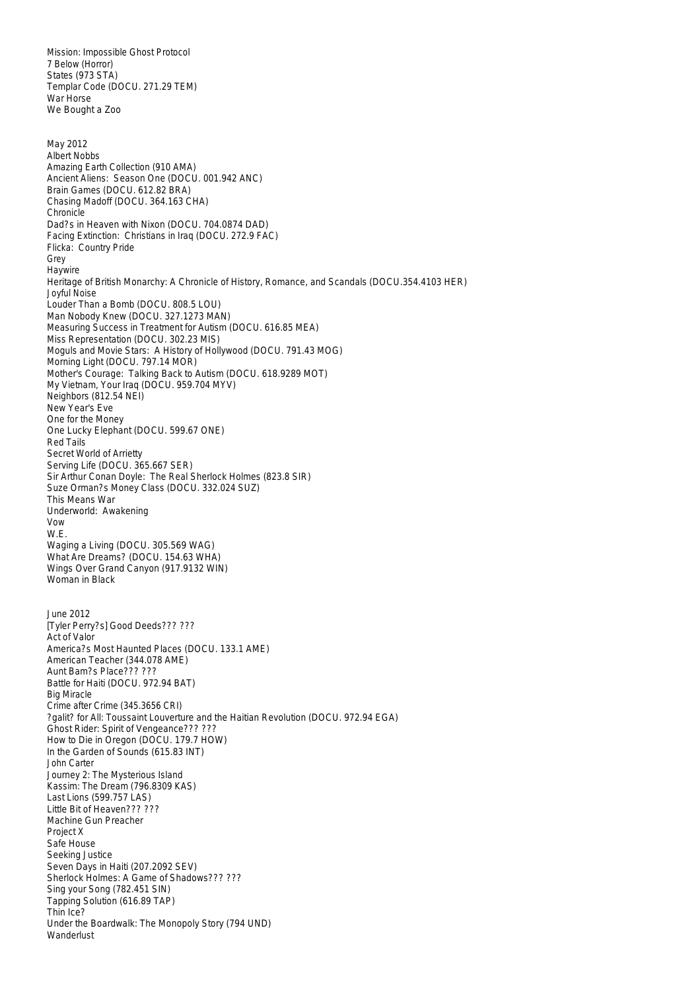Mission: Impossible Ghost Protocol 7 Below (Horror) States (973 STA) Templar Code (DOCU. 271.29 TEM) War Horse We Bought a Zoo

May 2012 Albert Nobbs Amazing Earth Collection (910 AMA) Ancient Aliens: Season One (DOCU. 001.942 ANC) Brain Games (DOCU. 612.82 BRA) Chasing Madoff (DOCU. 364.163 CHA) **Chronicle** Dad?s in Heaven with Nixon (DOCU. 704.0874 DAD) Facing Extinction: Christians in Iraq (DOCU. 272.9 FAC) Flicka: Country Pride Grey Haywire Heritage of British Monarchy: A Chronicle of History, Romance, and Scandals (DOCU.354.4103 HER) Joyful Noise Louder Than a Bomb (DOCU. 808.5 LOU) Man Nobody Knew (DOCU. 327.1273 MAN) Measuring Success in Treatment for Autism (DOCU. 616.85 MEA) Miss Representation (DOCU. 302.23 MIS) Moguls and Movie Stars: A History of Hollywood (DOCU. 791.43 MOG) Morning Light (DOCU. 797.14 MOR) Mother's Courage: Talking Back to Autism (DOCU. 618.9289 MOT) My Vietnam, Your Iraq (DOCU. 959.704 MYV) Neighbors (812.54 NEI) New Year's Eve One for the Money One Lucky Elephant (DOCU. 599.67 ONE) Red Tails Secret World of Arrietty Serving Life (DOCU. 365.667 SER) Sir Arthur Conan Doyle: The Real Sherlock Holmes (823.8 SIR) Suze Orman?s Money Class (DOCU. 332.024 SUZ) This Means War Underworld: Awakening Vow W.E. Waging a Living (DOCU. 305.569 WAG) What Are Dreams? (DOCU. 154.63 WHA) Wings Over Grand Canyon (917.9132 WIN) Woman in Black June 2012 [Tyler Perry?s] Good Deeds??? ??? Act of Valor America?s Most Haunted Places (DOCU. 133.1 AME) American Teacher (344.078 AME) Aunt Bam?s Place??? ??? Battle for Haiti (DOCU. 972.94 BAT) Big Miracle Crime after Crime (345.3656 CRI) ?galit? for All: Toussaint Louverture and the Haitian Revolution (DOCU. 972.94 EGA) Ghost Rider: Spirit of Vengeance??? ??? How to Die in Oregon (DOCU. 179.7 HOW) In the Garden of Sounds (615.83 INT) John Carter Journey 2: The Mysterious Island Kassim: The Dream (796.8309 KAS) Last Lions (599.757 LAS) Little Bit of Heaven??? ??? Machine Gun Preacher Project X Safe House Seeking Justice Seven Days in Haiti (207.2092 SEV) Sherlock Holmes: A Game of Shadows??? ??? Sing your Song (782.451 SIN) Tapping Solution (616.89 TAP) Thin Ice? Under the Boardwalk: The Monopoly Story (794 UND) **Wanderlust**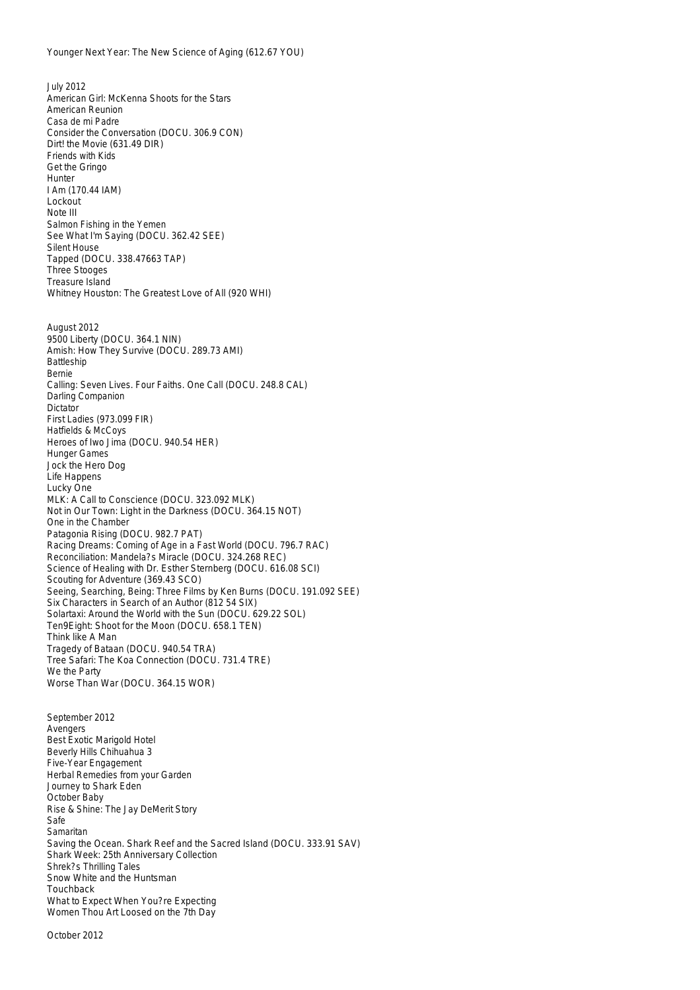July 2012 American Girl: McKenna Shoots for the Stars American Reunion Casa de mi Padre Consider the Conversation (DOCU. 306.9 CON) Dirt! the Movie (631.49 DIR) Friends with Kids Get the Gringo **Hunter** I Am (170.44 IAM) Lockout Note III Salmon Fishing in the Yemen See What I'm Saying (DOCU. 362.42 SEE) Silent House Tapped (DOCU. 338.47663 TAP) Three Stooges Treasure Island Whitney Houston: The Greatest Love of All (920 WHI) August 2012 9500 Liberty (DOCU. 364.1 NIN) Amish: How They Survive (DOCU. 289.73 AMI) Battleship Bernie Calling: Seven Lives. Four Faiths. One Call (DOCU. 248.8 CAL) Darling Companion Dictator First Ladies (973.099 FIR) Hatfields & McCoys Heroes of Iwo Jima (DOCU. 940.54 HER) Hunger Games Jock the Hero Dog Life Happens Lucky One MLK: A Call to Conscience (DOCU. 323.092 MLK) Not in Our Town: Light in the Darkness (DOCU. 364.15 NOT) One in the Chamber Patagonia Rising (DOCU. 982.7 PAT) Racing Dreams: Coming of Age in a Fast World (DOCU. 796.7 RAC) Reconciliation: Mandela?s Miracle (DOCU. 324.268 REC) Science of Healing with Dr. Esther Sternberg (DOCU. 616.08 SCI) Scouting for Adventure (369.43 SCO) Seeing, Searching, Being: Three Films by Ken Burns (DOCU. 191.092 SEE) Six Characters in Search of an Author (812 54 SIX) Solartaxi: Around the World with the Sun (DOCU. 629.22 SOL) Ten9Eight: Shoot for the Moon (DOCU. 658.1 TEN) Think like A Man Tragedy of Bataan (DOCU. 940.54 TRA) Tree Safari: The Koa Connection (DOCU. 731.4 TRE) We the Party Worse Than War (DOCU. 364.15 WOR)

September 2012 Avengers Best Exotic Marigold Hotel Beverly Hills Chihuahua 3 Five-Year Engagement Herbal Remedies from your Garden Journey to Shark Eden October Baby Rise & Shine: The Jay DeMerit Story Safe Samaritan Saving the Ocean. Shark Reef and the Sacred Island (DOCU. 333.91 SAV) Shark Week: 25th Anniversary Collection Shrek?s Thrilling Tales Snow White and the Huntsman Touchback What to Expect When You?re Expecting Women Thou Art Loosed on the 7th Day

October 2012